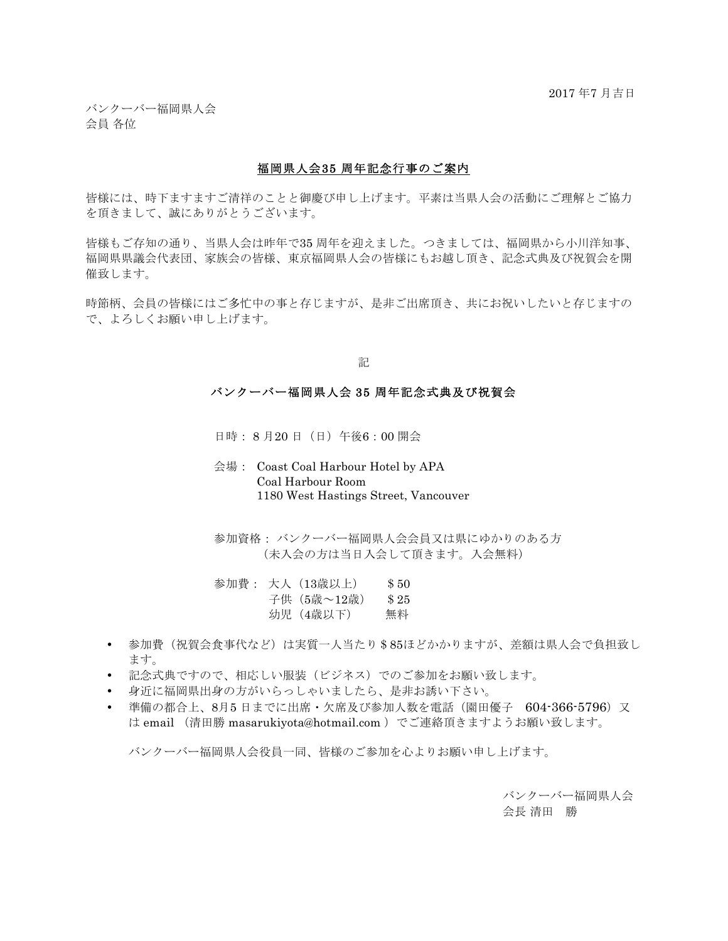バンクーバー福岡県人会 会員 各位

## 福岡県人会35 周年記念行事のご案内

皆様には、時下ますますご清祥のことと御慶び申し上げます。平素は当県人会の活動にご理解とご協力 を頂きまして、誠にありがとうございます。

皆様もご存知の通り、当県人会は昨年で35 周年を迎えました。つきましては、福岡県から小川洋知事、 福岡県県議会代表団、家族会の皆様、東京福岡県人会の皆様にもお越し頂き、記念式典及び祝賀会を開 催致します。

時節柄、会員の皆様にはご多忙中の事と存じますが、是非ご出席頂き、共にお祝いしたいと存じますの で、よろしくお願い申し上げます。

記

## バンクーバー福岡県人会 35 周年記念式典及び祝賀会

日時: 8 月20 日(日)午後6:00 開会

- 会場: Coast Coal Harbour Hotel by APA Coal Harbour Room 1180 West Hastings Street, Vancouver
- 参加資格: バンクーバー福岡県人会会員又は県にゆかりのある方 (未入会の方は当日入会して頂きます。入会無料)
- 参加費: 大人(13歳以上) \$50 子供 (5歳~12歳) \$25 幼児(4歳以下) 無料
- 参加費(祝賀会食事代など)は実質一人当たり\$85ほどかかりますが、差額は県人会で負担致し ます。
- 記念式典ですので、相応しい服装(ビジネス)でのご参加をお願い致します。
- 身近に福岡県出身の方がいらっしゃいましたら、是非お誘い下さい。
- 準備の都合上、8月5 日までに出席・欠席及び参加人数を電話(園田優子 604-366-5796)又 は email (清田勝 masarukiyota@hotmail.com )でご連絡頂きますようお願い致します。

バンクーバー福岡県人会役員一同、皆様のご参加を心よりお願い申し上げます。

バンクーバー福岡県人会 会長 清田 勝